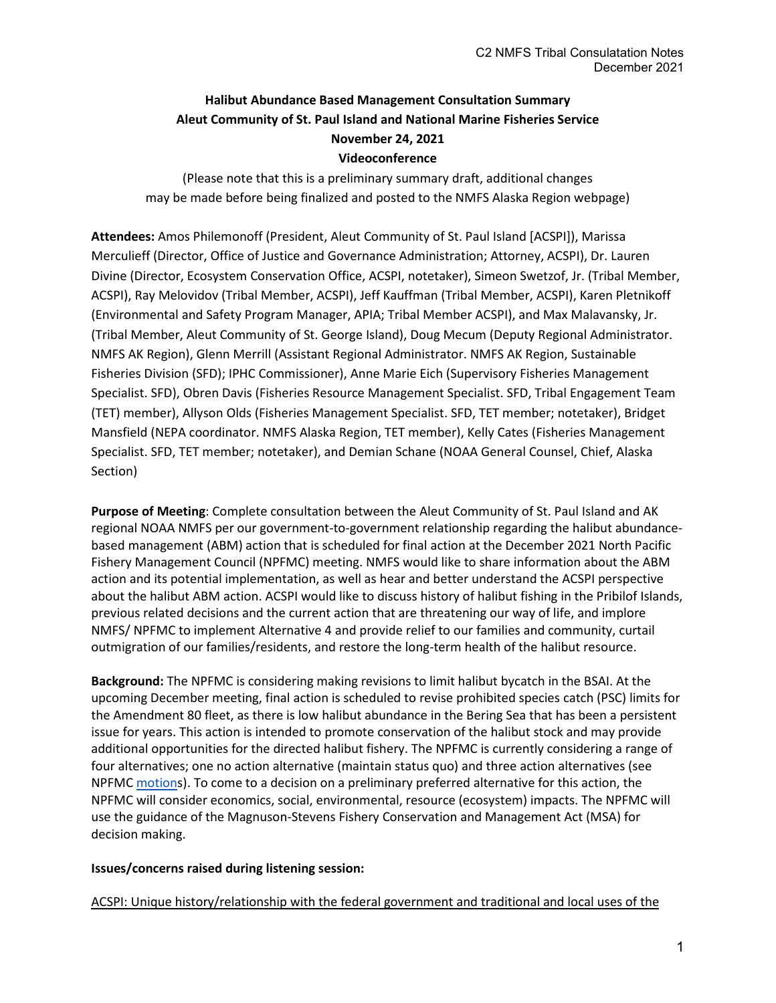# **Halibut Abundance Based Management Consultation Summary Aleut Community of St. Paul Island and National Marine Fisheries Service November 24, 2021 Videoconference**

(Please note that this is a preliminary summary draft, additional changes may be made before being finalized and posted to the NMFS Alaska Region webpage)

**Attendees:** Amos Philemonoff (President, Aleut Community of St. Paul Island [ACSPI]), Marissa Merculieff (Director, Office of Justice and Governance Administration; Attorney, ACSPI), Dr. Lauren Divine (Director, Ecosystem Conservation Office, ACSPI, notetaker), Simeon Swetzof, Jr. (Tribal Member, ACSPI), Ray Melovidov (Tribal Member, ACSPI), Jeff Kauffman (Tribal Member, ACSPI), Karen Pletnikoff (Environmental and Safety Program Manager, APIA; Tribal Member ACSPI), and Max Malavansky, Jr. (Tribal Member, Aleut Community of St. George Island), Doug Mecum (Deputy Regional Administrator. NMFS AK Region), Glenn Merrill (Assistant Regional Administrator. NMFS AK Region, Sustainable Fisheries Division (SFD); IPHC Commissioner), Anne Marie Eich (Supervisory Fisheries Management Specialist. SFD), Obren Davis (Fisheries Resource Management Specialist. SFD, Tribal Engagement Team (TET) member), Allyson Olds (Fisheries Management Specialist. SFD, TET member; notetaker), Bridget Mansfield (NEPA coordinator. NMFS Alaska Region, TET member), Kelly Cates (Fisheries Management Specialist. SFD, TET member; notetaker), and Demian Schane (NOAA General Counsel, Chief, Alaska Section)

**Purpose of Meeting**: Complete consultation between the Aleut Community of St. Paul Island and AK regional NOAA NMFS per our government-to-government relationship regarding the halibut abundancebased management (ABM) action that is scheduled for final action at the December 2021 North Pacific Fishery Management Council (NPFMC) meeting. NMFS would like to share information about the ABM action and its potential implementation, as well as hear and better understand the ACSPI perspective about the halibut ABM action. ACSPI would like to discuss history of halibut fishing in the Pribilof Islands, previous related decisions and the current action that are threatening our way of life, and implore NMFS/ NPFMC to implement Alternative 4 and provide relief to our families and community, curtail outmigration of our families/residents, and restore the long-term health of the halibut resource.

**Background:** The NPFMC is considering making revisions to limit halibut bycatch in the BSAI. At the upcoming December meeting, final action is scheduled to revise prohibited species catch (PSC) limits for the Amendment 80 fleet, as there is low halibut abundance in the Bering Sea that has been a persistent issue for years. This action is intended to promote conservation of the halibut stock and may provide additional opportunities for the directed halibut fishery. The NPFMC is currently considering a range of four alternatives; one no action alternative (maintain status quo) and three action alternatives (see NPFM[C motions](https://meetings.npfmc.org/CommentReview/DownloadFile?p=e638f189-3577-460c-a0b3-92640e61bacc.pdf&fileName=C2%20Council%20Motion.pdf)). To come to a decision on a preliminary preferred alternative for this action, the NPFMC will consider economics, social, environmental, resource (ecosystem) impacts. The NPFMC will use the guidance of the Magnuson-Stevens Fishery Conservation and Management Act (MSA) for decision making.

### **Issues/concerns raised during listening session:**

ACSPI: Unique history/relationship with the federal government and traditional and local uses of the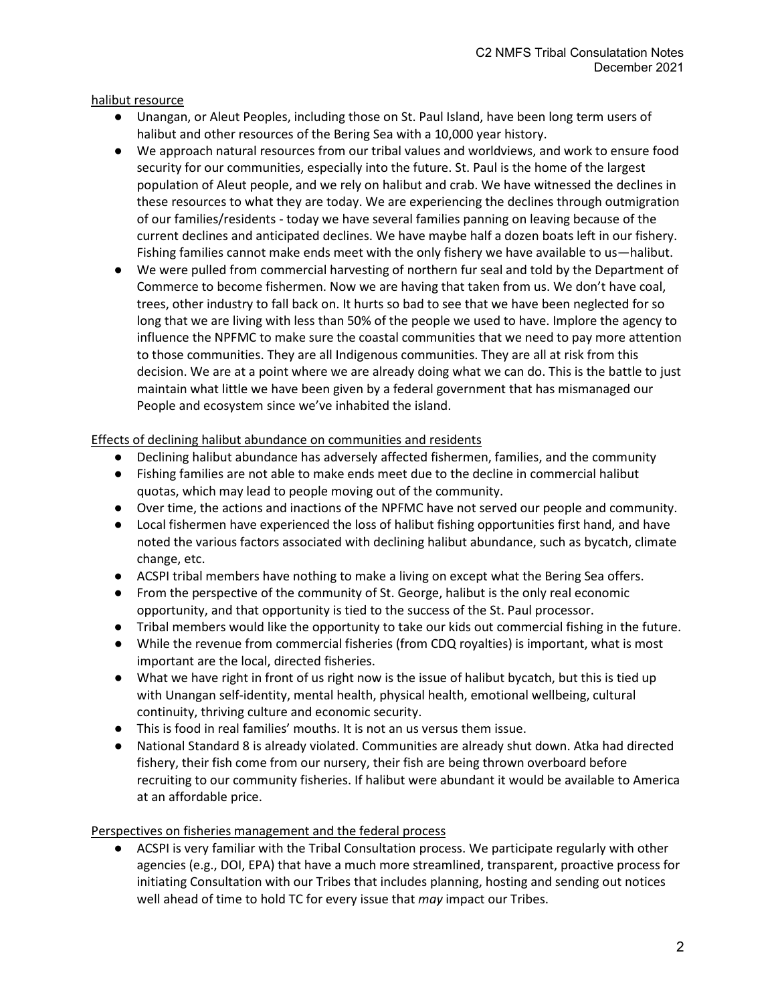halibut resource

- Unangan, or Aleut Peoples, including those on St. Paul Island, have been long term users of halibut and other resources of the Bering Sea with a 10,000 year history.
- We approach natural resources from our tribal values and worldviews, and work to ensure food security for our communities, especially into the future. St. Paul is the home of the largest population of Aleut people, and we rely on halibut and crab. We have witnessed the declines in these resources to what they are today. We are experiencing the declines through outmigration of our families/residents - today we have several families panning on leaving because of the current declines and anticipated declines. We have maybe half a dozen boats left in our fishery. Fishing families cannot make ends meet with the only fishery we have available to us—halibut.
- We were pulled from commercial harvesting of northern fur seal and told by the Department of Commerce to become fishermen. Now we are having that taken from us. We don't have coal, trees, other industry to fall back on. It hurts so bad to see that we have been neglected for so long that we are living with less than 50% of the people we used to have. Implore the agency to influence the NPFMC to make sure the coastal communities that we need to pay more attention to those communities. They are all Indigenous communities. They are all at risk from this decision. We are at a point where we are already doing what we can do. This is the battle to just maintain what little we have been given by a federal government that has mismanaged our People and ecosystem since we've inhabited the island.

### Effects of declining halibut abundance on communities and residents

- Declining halibut abundance has adversely affected fishermen, families, and the community
- Fishing families are not able to make ends meet due to the decline in commercial halibut quotas, which may lead to people moving out of the community.
- Over time, the actions and inactions of the NPFMC have not served our people and community.
- Local fishermen have experienced the loss of halibut fishing opportunities first hand, and have noted the various factors associated with declining halibut abundance, such as bycatch, climate change, etc.
- ACSPI tribal members have nothing to make a living on except what the Bering Sea offers.
- From the perspective of the community of St. George, halibut is the only real economic opportunity, and that opportunity is tied to the success of the St. Paul processor.
- Tribal members would like the opportunity to take our kids out commercial fishing in the future.
- While the revenue from commercial fisheries (from CDQ royalties) is important, what is most important are the local, directed fisheries.
- What we have right in front of us right now is the issue of halibut bycatch, but this is tied up with Unangan self-identity, mental health, physical health, emotional wellbeing, cultural continuity, thriving culture and economic security.
- This is food in real families' mouths. It is not an us versus them issue.
- National Standard 8 is already violated. Communities are already shut down. Atka had directed fishery, their fish come from our nursery, their fish are being thrown overboard before recruiting to our community fisheries. If halibut were abundant it would be available to America at an affordable price.

### Perspectives on fisheries management and the federal process

● ACSPI is very familiar with the Tribal Consultation process. We participate regularly with other agencies (e.g., DOI, EPA) that have a much more streamlined, transparent, proactive process for initiating Consultation with our Tribes that includes planning, hosting and sending out notices well ahead of time to hold TC for every issue that *may* impact our Tribes.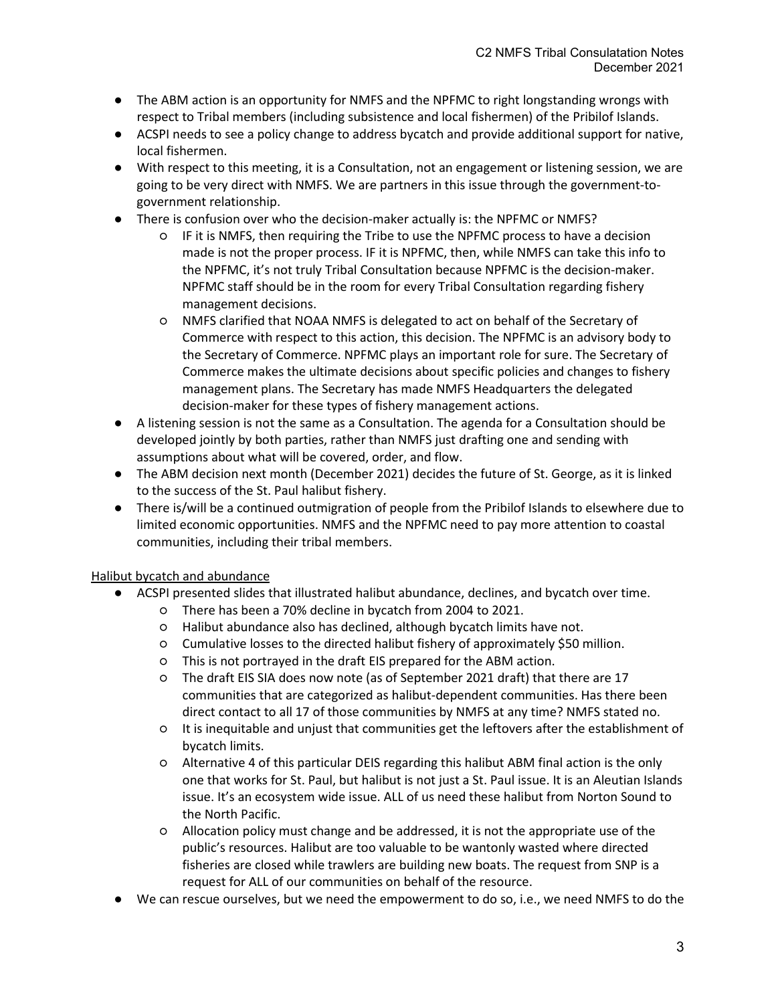- The ABM action is an opportunity for NMFS and the NPFMC to right longstanding wrongs with respect to Tribal members (including subsistence and local fishermen) of the Pribilof Islands.
- ACSPI needs to see a policy change to address bycatch and provide additional support for native, local fishermen.
- With respect to this meeting, it is a Consultation, not an engagement or listening session, we are going to be very direct with NMFS. We are partners in this issue through the government-togovernment relationship.
- There is confusion over who the decision-maker actually is: the NPFMC or NMFS?
	- IF it is NMFS, then requiring the Tribe to use the NPFMC process to have a decision made is not the proper process. IF it is NPFMC, then, while NMFS can take this info to the NPFMC, it's not truly Tribal Consultation because NPFMC is the decision-maker. NPFMC staff should be in the room for every Tribal Consultation regarding fishery management decisions.
	- NMFS clarified that NOAA NMFS is delegated to act on behalf of the Secretary of Commerce with respect to this action, this decision. The NPFMC is an advisory body to the Secretary of Commerce. NPFMC plays an important role for sure. The Secretary of Commerce makes the ultimate decisions about specific policies and changes to fishery management plans. The Secretary has made NMFS Headquarters the delegated decision-maker for these types of fishery management actions.
- A listening session is not the same as a Consultation. The agenda for a Consultation should be developed jointly by both parties, rather than NMFS just drafting one and sending with assumptions about what will be covered, order, and flow.
- The ABM decision next month (December 2021) decides the future of St. George, as it is linked to the success of the St. Paul halibut fishery.
- There is/will be a continued outmigration of people from the Pribilof Islands to elsewhere due to limited economic opportunities. NMFS and the NPFMC need to pay more attention to coastal communities, including their tribal members.

## Halibut bycatch and abundance

- ACSPI presented slides that illustrated halibut abundance, declines, and bycatch over time.
	- There has been a 70% decline in bycatch from 2004 to 2021.
	- Halibut abundance also has declined, although bycatch limits have not.
	- Cumulative losses to the directed halibut fishery of approximately \$50 million.
	- This is not portrayed in the draft EIS prepared for the ABM action.
	- The draft EIS SIA does now note (as of September 2021 draft) that there are 17 communities that are categorized as halibut-dependent communities. Has there been direct contact to all 17 of those communities by NMFS at any time? NMFS stated no.
	- It is inequitable and unjust that communities get the leftovers after the establishment of bycatch limits.
	- Alternative 4 of this particular DEIS regarding this halibut ABM final action is the only one that works for St. Paul, but halibut is not just a St. Paul issue. It is an Aleutian Islands issue. It's an ecosystem wide issue. ALL of us need these halibut from Norton Sound to the North Pacific.
	- Allocation policy must change and be addressed, it is not the appropriate use of the public's resources. Halibut are too valuable to be wantonly wasted where directed fisheries are closed while trawlers are building new boats. The request from SNP is a request for ALL of our communities on behalf of the resource.
- We can rescue ourselves, but we need the empowerment to do so, i.e., we need NMFS to do the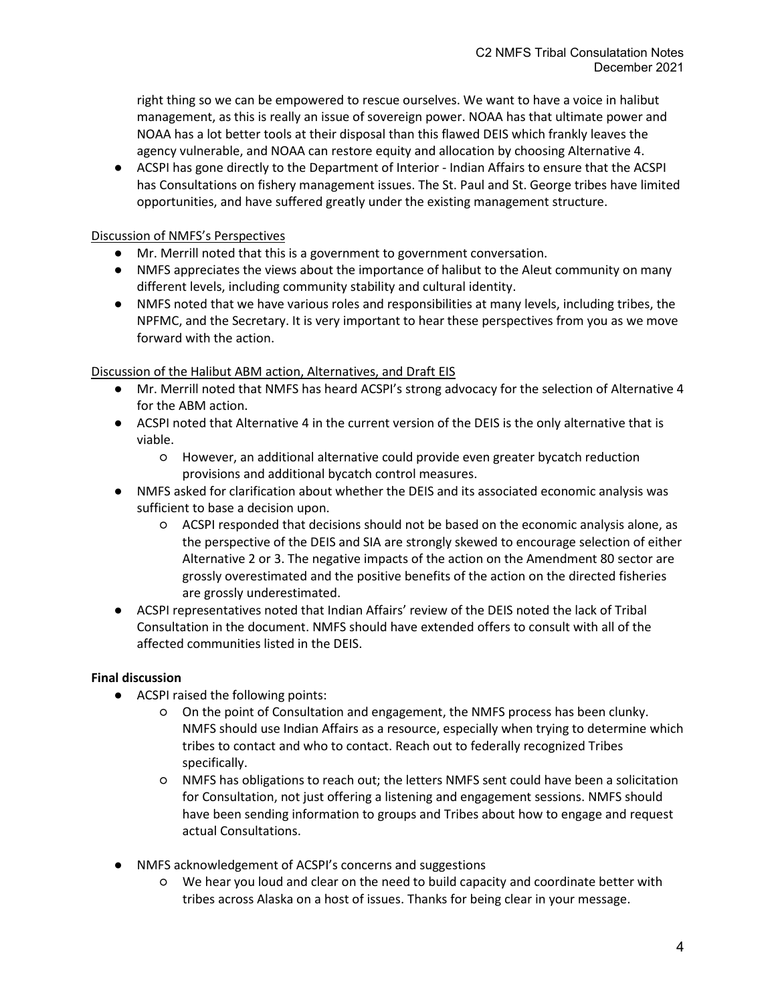right thing so we can be empowered to rescue ourselves. We want to have a voice in halibut management, as this is really an issue of sovereign power. NOAA has that ultimate power and NOAA has a lot better tools at their disposal than this flawed DEIS which frankly leaves the agency vulnerable, and NOAA can restore equity and allocation by choosing Alternative 4.

● ACSPI has gone directly to the Department of Interior - Indian Affairs to ensure that the ACSPI has Consultations on fishery management issues. The St. Paul and St. George tribes have limited opportunities, and have suffered greatly under the existing management structure.

### Discussion of NMFS's Perspectives

- Mr. Merrill noted that this is a government to government conversation.
- NMFS appreciates the views about the importance of halibut to the Aleut community on many different levels, including community stability and cultural identity.
- NMFS noted that we have various roles and responsibilities at many levels, including tribes, the NPFMC, and the Secretary. It is very important to hear these perspectives from you as we move forward with the action.

### Discussion of the Halibut ABM action, Alternatives, and Draft EIS

- Mr. Merrill noted that NMFS has heard ACSPI's strong advocacy for the selection of Alternative 4 for the ABM action.
- ACSPI noted that Alternative 4 in the current version of the DEIS is the only alternative that is viable.
	- However, an additional alternative could provide even greater bycatch reduction provisions and additional bycatch control measures.
- NMFS asked for clarification about whether the DEIS and its associated economic analysis was sufficient to base a decision upon.
	- ACSPI responded that decisions should not be based on the economic analysis alone, as the perspective of the DEIS and SIA are strongly skewed to encourage selection of either Alternative 2 or 3. The negative impacts of the action on the Amendment 80 sector are grossly overestimated and the positive benefits of the action on the directed fisheries are grossly underestimated.
- ACSPI representatives noted that Indian Affairs' review of the DEIS noted the lack of Tribal Consultation in the document. NMFS should have extended offers to consult with all of the affected communities listed in the DEIS.

### **Final discussion**

- ACSPI raised the following points:
	- On the point of Consultation and engagement, the NMFS process has been clunky. NMFS should use Indian Affairs as a resource, especially when trying to determine which tribes to contact and who to contact. Reach out to federally recognized Tribes specifically.
	- NMFS has obligations to reach out; the letters NMFS sent could have been a solicitation for Consultation, not just offering a listening and engagement sessions. NMFS should have been sending information to groups and Tribes about how to engage and request actual Consultations.
- NMFS acknowledgement of ACSPI's concerns and suggestions
	- We hear you loud and clear on the need to build capacity and coordinate better with tribes across Alaska on a host of issues. Thanks for being clear in your message.